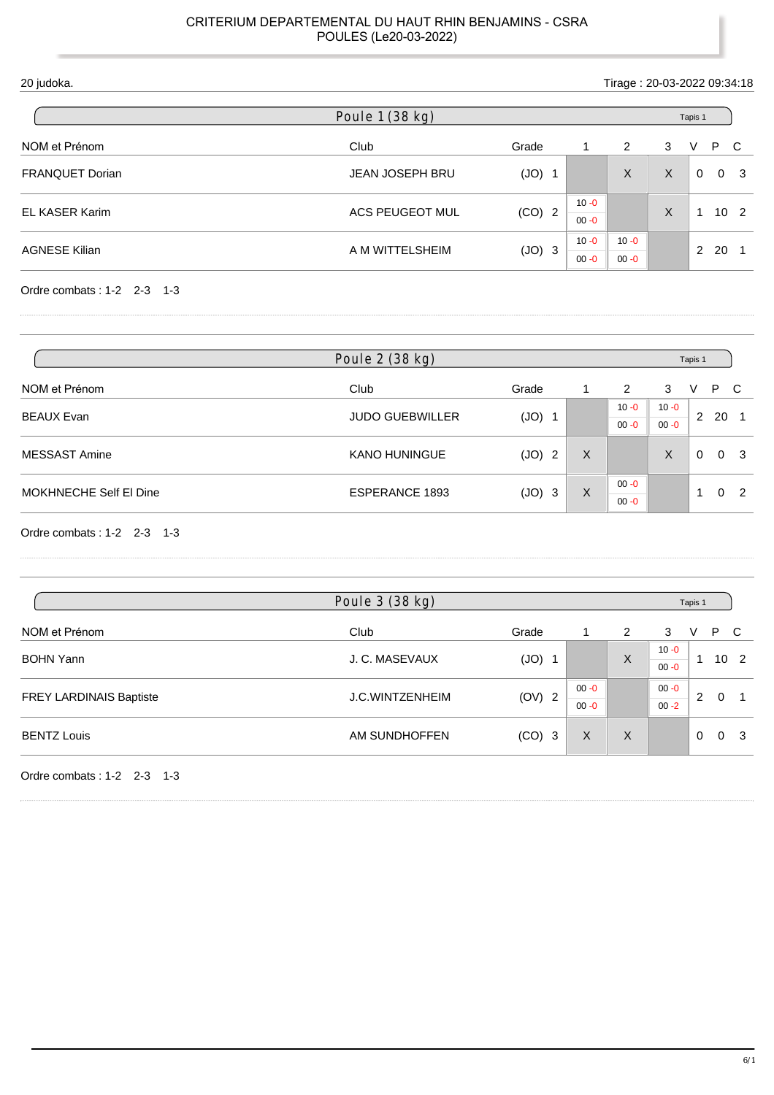| 20 judoka.             |                        | Tirage: 20-03-2022 09:34:18 |                      |                      |   |               |     |                |
|------------------------|------------------------|-----------------------------|----------------------|----------------------|---|---------------|-----|----------------|
|                        | Poule 1 (38 kg)        |                             |                      |                      |   | Tapis 1       |     |                |
| NOM et Prénom          | Club                   | Grade                       |                      | 2                    | 3 | V             | P C |                |
| <b>FRANQUET Dorian</b> | <b>JEAN JOSEPH BRU</b> | (JO)<br>- 1                 |                      | X                    | X | $\Omega$      |     | 0 <sup>3</sup> |
| EL KASER Karim         | ACS PEUGEOT MUL        | $(CO)$ 2                    | $10 - 0$<br>$00 - 0$ |                      | X |               |     | $10^{2}$       |
| <b>AGNESE Kilian</b>   | A M WITTELSHEIM        | (JO)<br>$\mathbf{3}$        | $10 - 0$<br>$00 - 0$ | $10 - 0$<br>$00 - 0$ |   | $\mathcal{P}$ | 20  |                |

| Poule 2 (38 kg)        |                        |          |   |                      |          |          |     |                |
|------------------------|------------------------|----------|---|----------------------|----------|----------|-----|----------------|
| NOM et Prénom          | Club                   | Grade    |   | 2                    | 3        | V        | P C |                |
|                        |                        |          |   | $10 - 0$             | $10 - 0$ |          |     |                |
| BEAUX Evan             | <b>JUDO GUEBWILLER</b> | $(JO)$ 1 |   | $00 - 0$             | $00 - 0$ | 2        | -20 |                |
| <b>MESSAST Amine</b>   | <b>KANO HUNINGUE</b>   | (JO) 2   | X |                      | X        | $\Omega$ |     | 0 <sup>3</sup> |
| MOKHNECHE Self El Dine | <b>ESPERANCE 1893</b>  | $(JO)$ 3 | X | $00 - 0$<br>$00 - 0$ |          | ۰        |     | $0\quad 2$     |

Ordre combats : 1-2 2-3 1-3

| Poule 3 (38 kg)         |                        |          |                      |   |                      |             |                 |     |
|-------------------------|------------------------|----------|----------------------|---|----------------------|-------------|-----------------|-----|
| NOM et Prénom           | Club                   | Grade    |                      | 2 | 3                    | V           | P C             |     |
| <b>BOHN Yann</b>        | J. C. MASEVAUX         | $(JO)$ 1 |                      | X | $10 - 0$<br>$00 - 0$ |             | 10 <sub>2</sub> |     |
| FREY LARDINAIS Baptiste | <b>J.C.WINTZENHEIM</b> | (OV) 2   | $00 - 0$<br>$00 - 0$ |   | $00 - 0$<br>$00 - 2$ | 2           | $\Omega$        |     |
| <b>BENTZ Louis</b>      | AM SUNDHOFFEN          | $(CO)$ 3 | X                    | X |                      | $\mathbf 0$ | $\overline{0}$  | - 3 |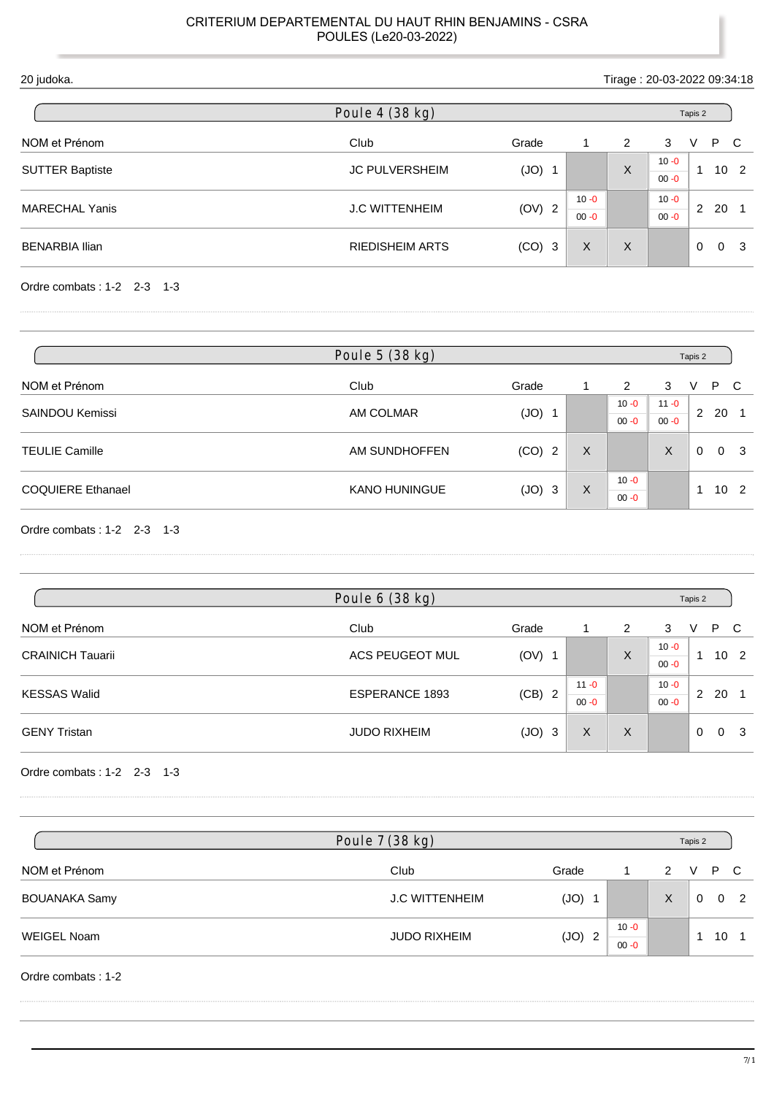| 20 judoka.             |                        |                      |                      | Tirage: 20-03-2022 09:34:18 |                      |                      |              |
|------------------------|------------------------|----------------------|----------------------|-----------------------------|----------------------|----------------------|--------------|
|                        | Poule 4 (38 kg)        |                      |                      |                             |                      | Tapis 2              |              |
| NOM et Prénom          | Club                   | Grade                | 1                    | 2                           | 3                    | P<br>V               | $\mathbf{C}$ |
| <b>SUTTER Baptiste</b> | <b>JC PULVERSHEIM</b>  | (JO)<br>-1           |                      | X                           | $10 - 0$<br>$00 - 0$ | 10 <sub>2</sub><br>1 |              |
| <b>MARECHAL Yanis</b>  | <b>J.C WITTENHEIM</b>  | (OV) 2               | $10 - 0$<br>$00 - 0$ |                             | $10 - 0$<br>$00 - 0$ | 20<br>$\mathbf{2}$   |              |
| <b>BENARBIA Ilian</b>  | <b>RIEDISHEIM ARTS</b> | (CO)<br>$\mathbf{3}$ | X                    | $\times$                    |                      | $\Omega$<br>$\Omega$ | - 3          |
|                        |                        |                      |                      |                             |                      |                      |              |

| Poule 5 (38 kg)            |                      |          |   |          | Tapis 2  |          |                 |                |  |  |
|----------------------------|----------------------|----------|---|----------|----------|----------|-----------------|----------------|--|--|
| NOM et Prénom              | Club                 | Grade    |   | 2        | 3        | V        | P C             |                |  |  |
| <b>SAINDOU Kemissi</b>     |                      |          |   | $10 - 0$ | $11 - 0$ |          |                 |                |  |  |
|                            | AM COLMAR            | $(JO)$ 1 |   | $00 - 0$ | $00 - 0$ |          | 2, 20, 1        |                |  |  |
| <b>TEULIE Camille</b>      | AM SUNDHOFFEN        | $(CO)$ 2 | X |          | X        | $\Omega$ |                 | 0 <sup>3</sup> |  |  |
|                            |                      |          |   | $10 - 0$ |          |          |                 |                |  |  |
| <b>COQUIERE Ethanael</b>   | <b>KANO HUNINGUE</b> | $(JO)$ 3 | X | $00 - 0$ |          | -4       | 10 <sub>2</sub> |                |  |  |
| Ordre combats: 1-2 2-3 1-3 |                      |          |   |          |          |          |                 |                |  |  |

| Poule 6 (38 kg)         |                       |                        |                      |   |                      |          | Tapis 2 |                 |  |  |  |  |
|-------------------------|-----------------------|------------------------|----------------------|---|----------------------|----------|---------|-----------------|--|--|--|--|
| NOM et Prénom           | Club                  | Grade                  |                      | 2 | 3                    | v        | P.      | - C             |  |  |  |  |
| <b>CRAINICH Tauarii</b> | ACS PEUGEOT MUL       | $(OV)$ 1               |                      | X | $10 - 0$<br>$00 - 0$ |          |         | 10 <sub>2</sub> |  |  |  |  |
| <b>KESSAS Walid</b>     | <b>ESPERANCE 1893</b> | (CB)<br>$\overline{2}$ | $11 - 0$<br>$00 - 0$ |   | $10 - 0$<br>$00 - 0$ | 2        | 20      |                 |  |  |  |  |
| <b>GENY Tristan</b>     | <b>JUDO RIXHEIM</b>   | (JO)<br>3              | X                    | X |                      | $\Omega$ |         | 0 <sup>3</sup>  |  |  |  |  |

Ordre combats : 1-2 2-3 1-3

|                      | Poule 7 (38 kg)       |          |          |   | Tapis 2  |            |
|----------------------|-----------------------|----------|----------|---|----------|------------|
| NOM et Prénom        | Club                  | Grade    |          | 2 | V        | P C        |
| <b>BOUANAKA Samy</b> | <b>J.C WITTENHEIM</b> | $(JO)$ 1 |          | Χ | $\Omega$ | $0\quad 2$ |
| WEIGEL Noam          | <b>JUDO RIXHEIM</b>   | $(JO)$ 2 | $10 - 0$ |   |          | 10         |
|                      |                       |          | $00 - 0$ |   |          |            |

Ordre combats : 1-2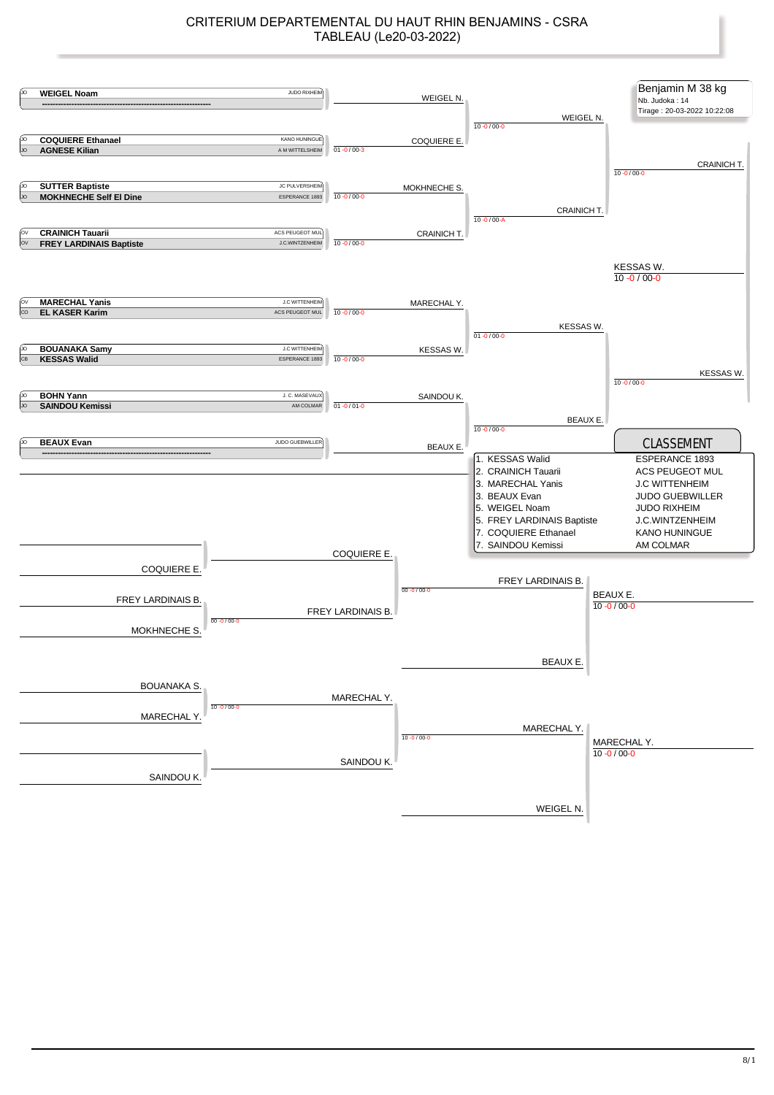## CRITERIUM DEPARTEMENTAL DU HAUT RHIN BENJAMINS - CSRA TABLEAU (Le20-03-2022)

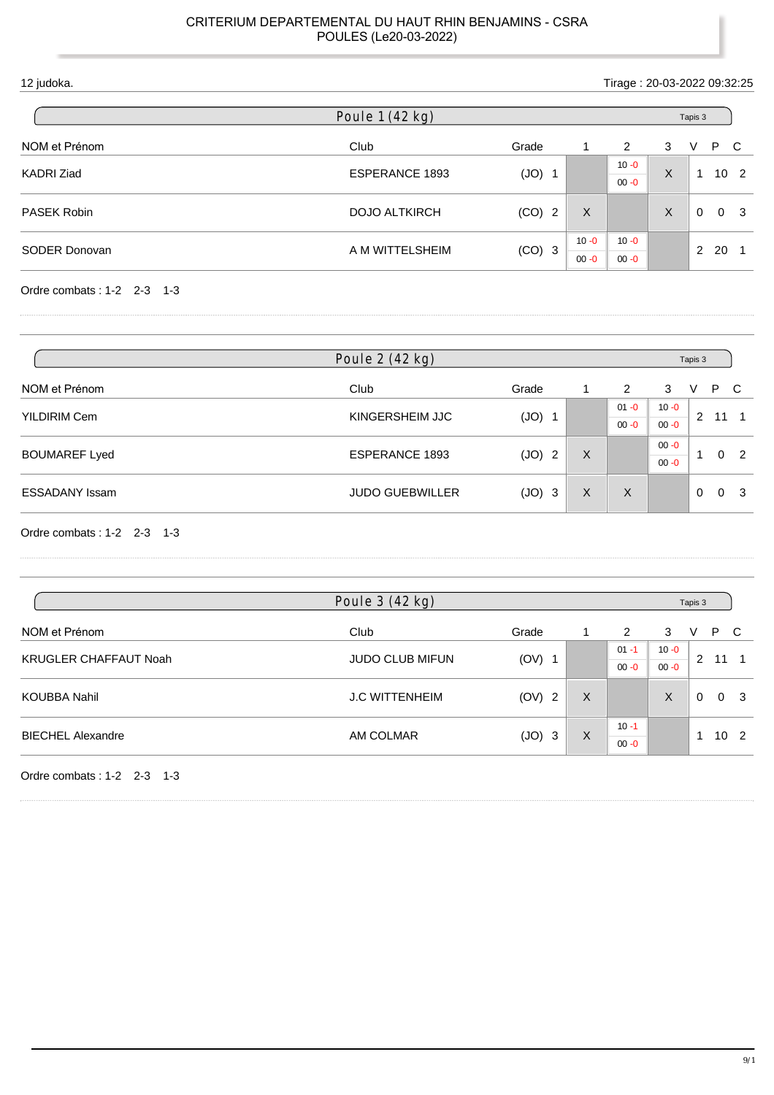| 12 judoka.    |                       |          |                      | Tirage: 20-03-2022 09:32:25 |   |                            |
|---------------|-----------------------|----------|----------------------|-----------------------------|---|----------------------------|
|               | Poule 1 (42 kg)       |          |                      |                             |   | Tapis 3                    |
| NOM et Prénom | Club                  | Grade    | 1                    | 2                           | 3 | P C<br>V                   |
| KADRI Ziad    | <b>ESPERANCE 1893</b> | (JO)     |                      | $10 - 0$<br>$00 - 0$        | X | 10 <sub>2</sub>            |
| PASEK Robin   | <b>DOJO ALTKIRCH</b>  | $(CO)$ 2 | X                    |                             | X | $\Omega$<br>0 <sup>3</sup> |
| SODER Donovan | A M WITTELSHEIM       | $(CO)$ 3 | $10 - 0$<br>$00 - 0$ | $10 - 0$<br>$00 - 0$        |   | 2<br>20                    |
|               |                       |          |                      |                             |   |                            |

| Poule 2 (42 kg)              |                        |          |   |          |          | Tapis 3     |          |                |
|------------------------------|------------------------|----------|---|----------|----------|-------------|----------|----------------|
| NOM et Prénom                | Club                   | Grade    |   | 2        | 3        | V           | P C      |                |
| <b>YILDIRIM Cem</b>          | KINGERSHEIM JJC        |          |   | $01 - 0$ | $10 - 0$ |             |          | $11 \quad 1$   |
|                              |                        | $(JO)$ 1 |   | $00 - 0$ | $00 - 0$ | $2^{\circ}$ |          |                |
|                              |                        |          |   |          | $00 - 0$ | ۰           | $\Omega$ | $\overline{2}$ |
| <b>BOUMAREF Lyed</b>         | ESPERANCE 1893         | (JO) 2   | X |          | $00 - 0$ |             |          |                |
| <b>ESSADANY Issam</b>        | <b>JUDO GUEBWILLER</b> | $(JO)$ 3 | X | X        |          | $\Omega$    |          | 0 <sup>3</sup> |
|                              |                        |          |   |          |          |             |          |                |
| Ordre combats: $1-2$ 2-3 1-3 |                        |          |   |          |          |             |          |                |

| Poule 3 (42 kg)              |                        |          |   |          |          |          |     |                 |
|------------------------------|------------------------|----------|---|----------|----------|----------|-----|-----------------|
| NOM et Prénom                | Club                   | Grade    |   | 2        | 3        | V        | P C |                 |
|                              |                        |          |   | $01 - 1$ | $10 - 0$ |          |     |                 |
| <b>KRUGLER CHAFFAUT Noah</b> | <b>JUDO CLUB MIFUN</b> | $(OV)$ 1 |   | $00 - 0$ | $00 - 0$ | 2        | 11  |                 |
| <b>KOUBBA Nahil</b>          | <b>J.C WITTENHEIM</b>  | (OV) 2   | X |          | X        | $\Omega$ |     | 0 <sup>3</sup>  |
|                              |                        |          |   | $10 - 1$ |          | 1        |     |                 |
| <b>BIECHEL Alexandre</b>     | AM COLMAR              | $(JO)$ 3 | X | $00 - 0$ |          |          |     | 10 <sub>2</sub> |

Ordre combats : 1-2 2-3 1-3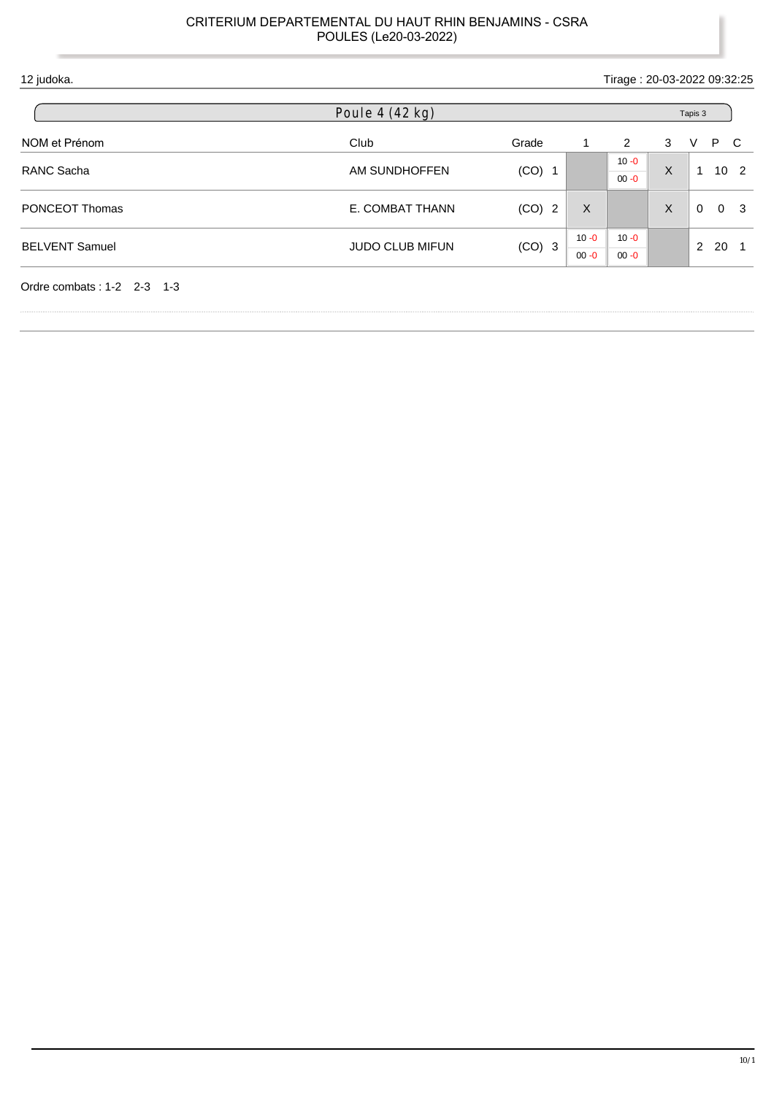| 12 judoka.            |                        |          | Tirage: 20-03-2022 09:32:25 |                      |         |                                 |
|-----------------------|------------------------|----------|-----------------------------|----------------------|---------|---------------------------------|
|                       | Poule 4 (42 kg)        |          |                             |                      |         | Tapis 3                         |
| NOM et Prénom         | Club                   | Grade    | 1                           | 2                    | 3       | P C<br>V                        |
| RANC Sacha            | AM SUNDHOFFEN          | $(CO)$ 1 |                             | $10 - 0$<br>$00 - 0$ | $\sf X$ | 10 <sub>2</sub><br>$\mathbf{1}$ |
| <b>PONCEOT Thomas</b> | E. COMBAT THANN        | $(CO)$ 2 | $\sf X$                     |                      | X       | $\Omega$<br>0 <sup>3</sup>      |
| <b>BELVENT Samuel</b> | <b>JUDO CLUB MIFUN</b> |          | $10 - 0$                    | $10 - 0$             |         | $^{\circ}$ 2<br>20              |
|                       |                        | $(CO)$ 3 | $00 - 0$                    | $00 - 0$             |         |                                 |

ı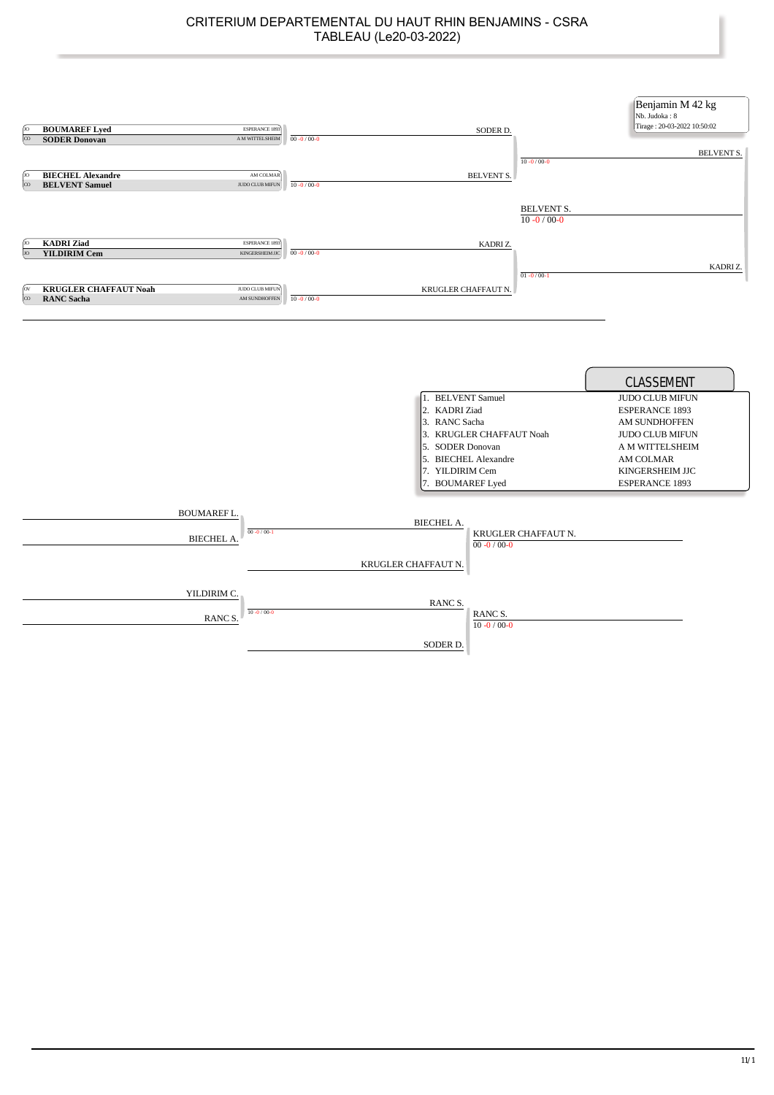| ſю<br>$\infty$<br>ſю                   | <b>BOUMAREF Lyed</b><br><b>SODER Donovan</b><br><b>BIECHEL Alexandre</b> | ESPERANCE 1893<br>A M WITTELSHEIM<br>AM COLMAR                     | $00 - 0 / 00 - 0$                      |                                                                                                                                        | SODER D.<br>$10 - 0 / 00 - 0$<br><b>BELVENT S.</b> | Benjamin M 42 kg<br>Nb. Judoka: 8<br>Tirage: 20-03-2022 10:50:02<br><b>BELVENT S.</b>                                                                                                |
|----------------------------------------|--------------------------------------------------------------------------|--------------------------------------------------------------------|----------------------------------------|----------------------------------------------------------------------------------------------------------------------------------------|----------------------------------------------------|--------------------------------------------------------------------------------------------------------------------------------------------------------------------------------------|
| $\overline{\infty}$<br>ſю              | <b>BELVENT Samuel</b><br><b>KADRI</b> Ziad                               | JUDO CLUB MIFUN<br>ESPERANCE 1893                                  | $10 - 0 / 00 - 0$                      |                                                                                                                                        | <b>BELVENT S.</b><br>$10 - 0 / 00 - 0$<br>KADRIZ.  |                                                                                                                                                                                      |
| $\alpha$<br>(ov<br>$\overline{\infty}$ | <b>YILDIRIM Cem</b><br><b>KRUGLER CHAFFAUT Noah</b><br><b>RANC Sacha</b> | KINGERSHEIM JJC<br>JUDO CLUB MIFUN<br>$\mathop{\rm AM}$ SUNDHOFFEN | $00 - 0 / 00 - 0$<br>$10 - 0 / 00 - 0$ | KRUGLER CHAFFAUT N.                                                                                                                    | $01 - 0/00 - 1$                                    | KADRI Z.                                                                                                                                                                             |
|                                        |                                                                          |                                                                    |                                        | 1. BELVENT Samuel<br>2. KADRI Ziad<br>3. RANC Sacha<br>5. SODER Donovan<br>5. BIECHEL Alexandre<br>7. YILDIRIM Cem<br>7. BOUMAREF Lyed | 3. KRUGLER CHAFFAUT Noah                           | CLASSEMENT<br>JUDO CLUB MIFUN<br><b>ESPERANCE 1893</b><br><b>AM SUNDHOFFEN</b><br><b>JUDO CLUB MIFUN</b><br>A M WITTELSHEIM<br>AM COLMAR<br>KINGERSHEIM JJC<br><b>ESPERANCE 1893</b> |
|                                        |                                                                          | <b>BOUMAREF L.</b><br>$00 - 0 / 00 - 1$<br><b>BIECHEL A.</b>       |                                        | <b>BIECHEL A.</b><br>KRUGLER CHAFFAUT N.                                                                                               | KRUGLER CHAFFAUT N.<br>$00 - 0 / 00 - 0$           |                                                                                                                                                                                      |
|                                        |                                                                          | YILDIRIM C.<br>$10 - 0 / 00 - 0$<br><b>RANCS</b>                   |                                        | RANC S.                                                                                                                                | RANC S.<br>$10 - 0 / 00 - 0$                       |                                                                                                                                                                                      |
|                                        |                                                                          |                                                                    |                                        | SODER D.                                                                                                                               |                                                    |                                                                                                                                                                                      |

ľ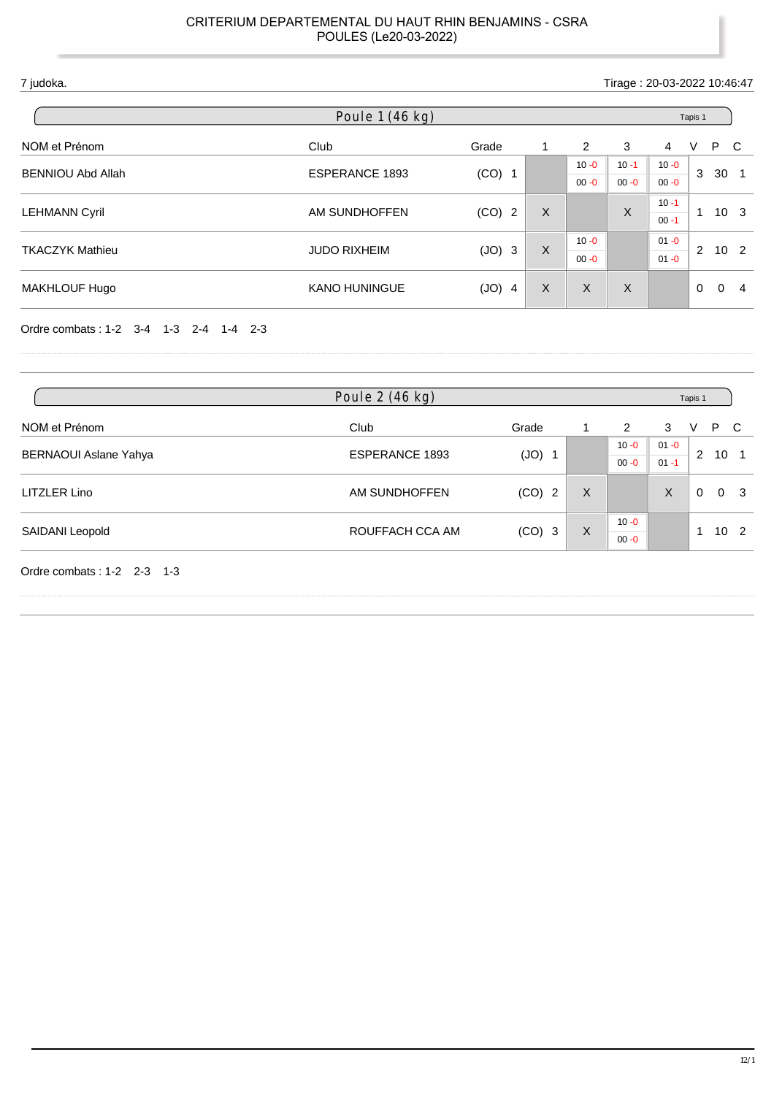| 7 judoka.            |                                                               |                                    |          |          |                |             |          |                                                                                |
|----------------------|---------------------------------------------------------------|------------------------------------|----------|----------|----------------|-------------|----------|--------------------------------------------------------------------------------|
| Poule 1 (46 kg)      |                                                               |                                    |          |          | Tapis 1        |             |          |                                                                                |
| Club                 | Grade                                                         | 1                                  | 2        | 3        | $\overline{4}$ | $\vee$      |          |                                                                                |
|                      | $(CO)$ 1                                                      |                                    | $10 - 0$ | $10 - 1$ | $10 - 0$       |             |          |                                                                                |
|                      |                                                               |                                    | $00 - 0$ | $00 - 0$ | $00 - 0$       |             |          | - 1                                                                            |
|                      |                                                               | $\sf X$                            |          |          | $10 - 1$       |             |          |                                                                                |
|                      |                                                               |                                    |          |          | $00 - 1$       |             |          |                                                                                |
|                      |                                                               |                                    | $10 - 0$ |          | $01 - 0$       | $2^{\circ}$ |          |                                                                                |
|                      |                                                               |                                    | $00 - 0$ |          | $01 - 0$       |             |          |                                                                                |
| <b>KANO HUNINGUE</b> | (JO)<br>$\overline{4}$                                        | X                                  | $\sf X$  | X        |                | $\mathbf 0$ | $\Omega$ | 4                                                                              |
|                      | <b>ESPERANCE 1893</b><br>AM SUNDHOFFEN<br><b>JUDO RIXHEIM</b> | (CO)<br>$\overline{2}$<br>$(JO)$ 3 | X        |          | X              |             | 3<br>1   | Tirage: 20-03-2022 10:46:47<br>P C<br>30<br>10 <sub>3</sub><br>10 <sub>2</sub> |

Ordre combats : 1-2 3-4 1-3 2-4 1-4 2-3

|                              | Poule 2 (46 kg) |          |   |          | Tapis 1  |          |                 |                |
|------------------------------|-----------------|----------|---|----------|----------|----------|-----------------|----------------|
| NOM et Prénom                | Club            | Grade    |   | 2        | 3        | V        | P C             |                |
|                              |                 |          |   | $10 - 0$ | $01 - 0$ |          |                 |                |
| <b>BERNAOUI Aslane Yahya</b> | ESPERANCE 1893  | $(JO)$ 1 |   | $00 - 0$ | $01 - 1$ |          | 2 10 1          |                |
| LITZLER Lino                 | AM SUNDHOFFEN   | $(CO)$ 2 | X |          | X        | $\Omega$ |                 | 0 <sub>3</sub> |
|                              | ROUFFACH CCA AM |          | X | $10 - 0$ |          | -1       | 10 <sub>2</sub> |                |
| SAIDANI Leopold              |                 | $(CO)$ 3 |   | $00 - 0$ |          |          |                 |                |